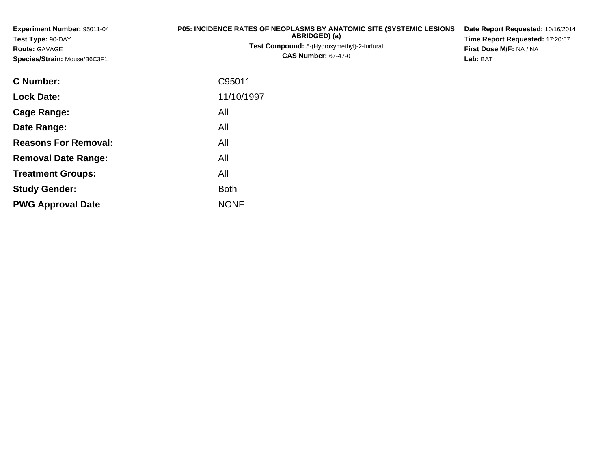**Experiment Number:** 95011-04**Test Type:** 90-DAY**Route:** GAVAGE **Species/Strain:** Mouse/B6C3F1**P05: INCIDENCE RATES OF NEOPLASMS BY ANATOMIC SITE (SYSTEMIC LESIONSABRIDGED) (a)Test Compound:** 5-(Hydroxymethyl)-2-furfural **CAS Number:** 67-47-0**Date Report Requested:** 10/16/2014**Time Report Requested:** 17:20:57**First Dose M/F:** NA / NA**Lab:** BAT**C Number:** C95011**Lock Date:** 11/10/1997**Cage Range:** All **Date Range:** All **Reasons For Removal:** All **Removal Date Range:**: All

**Treatment Groups:**

**PWG Approval Date**

**Study Gender:**

All

NONE

**Example 1** South 2 and 2 and 2 and 2 and 2 and 2 and 2 and 2 and 2 and 2 and 2 and 2 and 2 and 2 and 2 and 2 an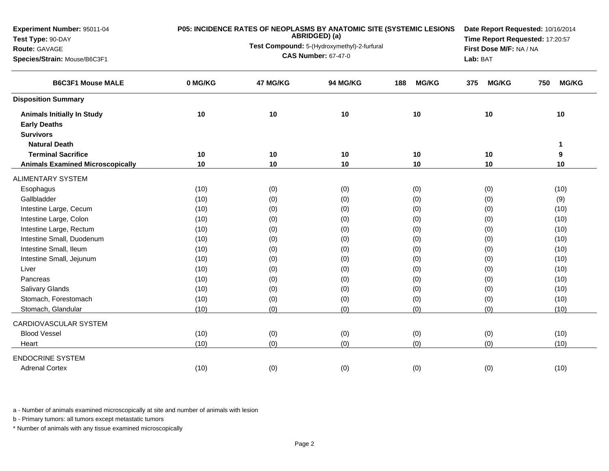| Experiment Number: 95011-04                                                            |         |          |                                                              | P05: INCIDENCE RATES OF NEOPLASMS BY ANATOMIC SITE (SYSTEMIC LESIONS | Date Report Requested: 10/16/2014 |                     |  |  |  |  |
|----------------------------------------------------------------------------------------|---------|----------|--------------------------------------------------------------|----------------------------------------------------------------------|-----------------------------------|---------------------|--|--|--|--|
| Test Type: 90-DAY                                                                      |         |          | ABRIDGED) (a)<br>Test Compound: 5-(Hydroxymethyl)-2-furfural |                                                                      | Time Report Requested: 17:20:57   |                     |  |  |  |  |
| Route: GAVAGE                                                                          |         |          | <b>CAS Number: 67-47-0</b>                                   |                                                                      | First Dose M/F: NA / NA           |                     |  |  |  |  |
| Species/Strain: Mouse/B6C3F1<br><b>B6C3F1 Mouse MALE</b><br><b>Disposition Summary</b> |         |          | Lab: BAT                                                     |                                                                      |                                   |                     |  |  |  |  |
|                                                                                        | 0 MG/KG | 47 MG/KG | 94 MG/KG                                                     | <b>MG/KG</b><br>188                                                  | <b>MG/KG</b><br>375               | <b>MG/KG</b><br>750 |  |  |  |  |
|                                                                                        |         |          |                                                              |                                                                      |                                   |                     |  |  |  |  |
| <b>Animals Initially In Study</b>                                                      | 10      | 10       | 10                                                           | 10                                                                   | 10                                | 10                  |  |  |  |  |
| <b>Early Deaths</b>                                                                    |         |          |                                                              |                                                                      |                                   |                     |  |  |  |  |
| <b>Survivors</b>                                                                       |         |          |                                                              |                                                                      |                                   |                     |  |  |  |  |
| <b>Natural Death</b>                                                                   |         |          |                                                              |                                                                      |                                   | 1                   |  |  |  |  |
| <b>Terminal Sacrifice</b>                                                              | 10      | 10       | 10                                                           | 10                                                                   | 10                                | 9                   |  |  |  |  |
| <b>Animals Examined Microscopically</b>                                                | 10      | 10       | 10                                                           | 10                                                                   | 10                                | 10                  |  |  |  |  |
| <b>ALIMENTARY SYSTEM</b>                                                               |         |          |                                                              |                                                                      |                                   |                     |  |  |  |  |
| Esophagus                                                                              | (10)    | (0)      | (0)                                                          | (0)                                                                  | (0)                               | (10)                |  |  |  |  |
| Gallbladder                                                                            | (10)    | (0)      | (0)                                                          | (0)                                                                  | (0)                               | (9)                 |  |  |  |  |
| Intestine Large, Cecum                                                                 | (10)    | (0)      | (0)                                                          | (0)                                                                  | (0)                               | (10)                |  |  |  |  |
| Intestine Large, Colon                                                                 | (10)    | (0)      | (0)                                                          | (0)                                                                  | (0)                               | (10)                |  |  |  |  |
| Intestine Large, Rectum                                                                | (10)    | (0)      | (0)                                                          | (0)                                                                  | (0)                               | (10)                |  |  |  |  |
| Intestine Small, Duodenum                                                              | (10)    | (0)      | (0)                                                          | (0)                                                                  | (0)                               | (10)                |  |  |  |  |
| Intestine Small, Ileum                                                                 | (10)    | (0)      | (0)                                                          | (0)                                                                  | (0)                               | (10)                |  |  |  |  |
| Intestine Small, Jejunum                                                               | (10)    | (0)      | (0)                                                          | (0)                                                                  | (0)                               | (10)                |  |  |  |  |
| Liver                                                                                  | (10)    | (0)      | (0)                                                          | (0)                                                                  | (0)                               | (10)                |  |  |  |  |
| Pancreas                                                                               | (10)    | (0)      | (0)                                                          | (0)                                                                  | (0)                               | (10)                |  |  |  |  |
| <b>Salivary Glands</b>                                                                 | (10)    | (0)      | (0)                                                          | (0)                                                                  | (0)                               | (10)                |  |  |  |  |
| Stomach, Forestomach                                                                   | (10)    | (0)      | (0)                                                          | (0)                                                                  | (0)                               | (10)                |  |  |  |  |
| Stomach, Glandular                                                                     | (10)    | (0)      | (0)                                                          | (0)                                                                  | (0)                               | (10)                |  |  |  |  |
| CARDIOVASCULAR SYSTEM                                                                  |         |          |                                                              |                                                                      |                                   |                     |  |  |  |  |
| <b>Blood Vessel</b>                                                                    | (10)    | (0)      | (0)                                                          | (0)                                                                  | (0)                               | (10)                |  |  |  |  |
| Heart                                                                                  | (10)    | (0)      | (0)                                                          | (0)                                                                  | (0)                               | (10)                |  |  |  |  |
| <b>ENDOCRINE SYSTEM</b>                                                                |         |          |                                                              |                                                                      |                                   |                     |  |  |  |  |
| <b>Adrenal Cortex</b>                                                                  | (10)    | (0)      | (0)                                                          | (0)                                                                  | (0)                               | (10)                |  |  |  |  |
|                                                                                        |         |          |                                                              |                                                                      |                                   |                     |  |  |  |  |

b - Primary tumors: all tumors except metastatic tumors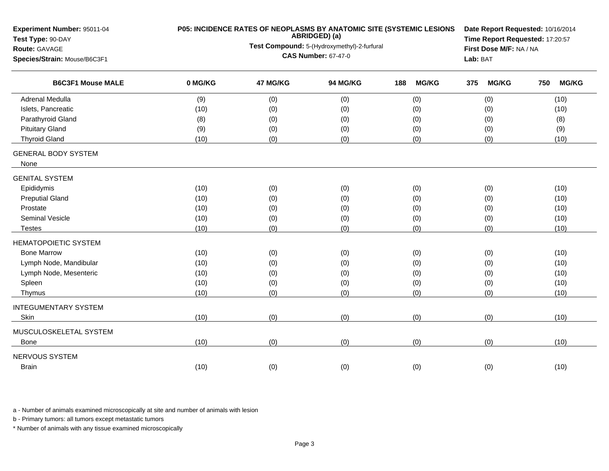| Experiment Number: 95011-04<br>Test Type: 90-DAY         |         |                                        | ABRIDGED) (a)                               | P05: INCIDENCE RATES OF NEOPLASMS BY ANATOMIC SITE (SYSTEMIC LESIONS | Date Report Requested: 10/16/2014<br>Time Report Requested: 17:20:57 |                     |  |  |  |
|----------------------------------------------------------|---------|----------------------------------------|---------------------------------------------|----------------------------------------------------------------------|----------------------------------------------------------------------|---------------------|--|--|--|
| Route: GAVAGE                                            |         |                                        | Test Compound: 5-(Hydroxymethyl)-2-furfural |                                                                      | First Dose M/F: NA / NA                                              |                     |  |  |  |
| Species/Strain: Mouse/B6C3F1<br><b>B6C3F1 Mouse MALE</b> |         | <b>CAS Number: 67-47-0</b><br>Lab: BAT |                                             |                                                                      |                                                                      |                     |  |  |  |
|                                                          | 0 MG/KG | 47 MG/KG                               | 94 MG/KG                                    | <b>MG/KG</b><br>188                                                  | <b>MG/KG</b><br>375                                                  | <b>MG/KG</b><br>750 |  |  |  |
| <b>Adrenal Medulla</b>                                   | (9)     | (0)                                    | (0)                                         | (0)                                                                  | (0)                                                                  | (10)                |  |  |  |
| Islets, Pancreatic                                       | (10)    | (0)                                    | (0)                                         | (0)                                                                  | (0)                                                                  | (10)                |  |  |  |
| Parathyroid Gland                                        | (8)     | (0)                                    | (0)                                         | (0)                                                                  | (0)                                                                  | (8)                 |  |  |  |
| <b>Pituitary Gland</b>                                   | (9)     | (0)                                    | (0)                                         | (0)                                                                  | (0)                                                                  | (9)                 |  |  |  |
| <b>Thyroid Gland</b>                                     | (10)    | (0)                                    | (0)                                         | (0)                                                                  | (0)                                                                  | (10)                |  |  |  |
| <b>GENERAL BODY SYSTEM</b><br>None                       |         |                                        |                                             |                                                                      |                                                                      |                     |  |  |  |
| <b>GENITAL SYSTEM</b>                                    |         |                                        |                                             |                                                                      |                                                                      |                     |  |  |  |
| Epididymis                                               | (10)    | (0)                                    | (0)                                         | (0)                                                                  | (0)                                                                  | (10)                |  |  |  |
| <b>Preputial Gland</b>                                   | (10)    | (0)                                    | (0)                                         | (0)                                                                  | (0)                                                                  | (10)                |  |  |  |
| Prostate                                                 | (10)    | (0)                                    | (0)                                         | (0)                                                                  | (0)                                                                  | (10)                |  |  |  |
| <b>Seminal Vesicle</b>                                   | (10)    | (0)                                    | (0)                                         | (0)                                                                  | (0)                                                                  | (10)                |  |  |  |
| <b>Testes</b>                                            | (10)    | (0)                                    | (0)                                         | (0)                                                                  | (0)                                                                  | (10)                |  |  |  |
| <b>HEMATOPOIETIC SYSTEM</b>                              |         |                                        |                                             |                                                                      |                                                                      |                     |  |  |  |
| <b>Bone Marrow</b>                                       | (10)    | (0)                                    | (0)                                         | (0)                                                                  | (0)                                                                  | (10)                |  |  |  |
| Lymph Node, Mandibular                                   | (10)    | (0)                                    | (0)                                         | (0)                                                                  | (0)                                                                  | (10)                |  |  |  |
| Lymph Node, Mesenteric                                   | (10)    | (0)                                    | (0)                                         | (0)                                                                  | (0)                                                                  | (10)                |  |  |  |
| Spleen                                                   | (10)    | (0)                                    | (0)                                         | (0)                                                                  | (0)                                                                  | (10)                |  |  |  |
| Thymus                                                   | (10)    | (0)                                    | (0)                                         | (0)                                                                  | (0)                                                                  | (10)                |  |  |  |
| <b>INTEGUMENTARY SYSTEM</b>                              |         |                                        |                                             |                                                                      |                                                                      |                     |  |  |  |
| Skin                                                     | (10)    | (0)                                    | (0)                                         | (0)                                                                  | (0)                                                                  | (10)                |  |  |  |
| MUSCULOSKELETAL SYSTEM                                   |         |                                        |                                             |                                                                      |                                                                      |                     |  |  |  |
| <b>Bone</b>                                              | (10)    | (0)                                    | (0)                                         | (0)                                                                  | (0)                                                                  | (10)                |  |  |  |
| NERVOUS SYSTEM                                           |         |                                        |                                             |                                                                      |                                                                      |                     |  |  |  |
| <b>Brain</b>                                             | (10)    | (0)                                    | (0)                                         | (0)                                                                  | (0)                                                                  | (10)                |  |  |  |

b - Primary tumors: all tumors except metastatic tumors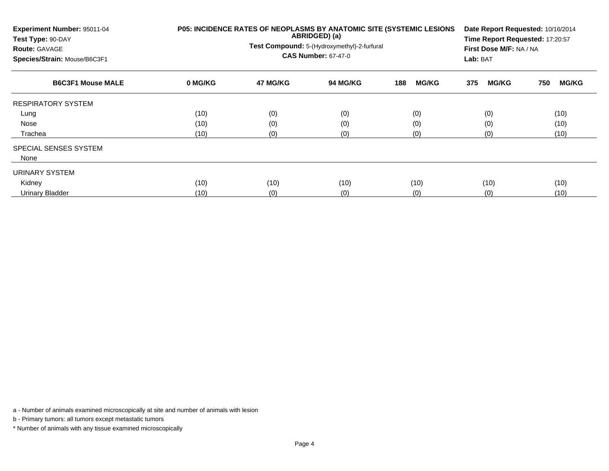| Experiment Number: 95011-04<br>Test Type: 90-DAY<br><b>Route: GAVAGE</b><br>Species/Strain: Mouse/B6C3F1 | P05: INCIDENCE RATES OF NEOPLASMS BY ANATOMIC SITE (SYSTEMIC LESIONS | Date Report Requested: 10/16/2014<br>Time Report Requested: 17:20:57<br>First Dose M/F: NA / NA<br>Lab: BAT |          |                     |                     |                     |
|----------------------------------------------------------------------------------------------------------|----------------------------------------------------------------------|-------------------------------------------------------------------------------------------------------------|----------|---------------------|---------------------|---------------------|
| <b>B6C3F1 Mouse MALE</b>                                                                                 | 0 MG/KG                                                              | 47 MG/KG                                                                                                    | 94 MG/KG | <b>MG/KG</b><br>188 | <b>MG/KG</b><br>375 | <b>MG/KG</b><br>750 |
| <b>RESPIRATORY SYSTEM</b>                                                                                |                                                                      |                                                                                                             |          |                     |                     |                     |
| Lung                                                                                                     | (10)                                                                 | (0)                                                                                                         | (0)      | (0)                 | (0)                 | (10)                |
| Nose                                                                                                     | (10)                                                                 | (0)                                                                                                         | (0)      | (0)                 | (0)                 | (10)                |
| Trachea                                                                                                  | (10)                                                                 | (0)                                                                                                         | (0)      | (0)                 | (0)                 | (10)                |
| SPECIAL SENSES SYSTEM                                                                                    |                                                                      |                                                                                                             |          |                     |                     |                     |
| None                                                                                                     |                                                                      |                                                                                                             |          |                     |                     |                     |
| URINARY SYSTEM                                                                                           |                                                                      |                                                                                                             |          |                     |                     |                     |
| Kidney                                                                                                   | (10)                                                                 | (10)                                                                                                        | (10)     | (10)                | (10)                | (10)                |
| Urinary Bladder                                                                                          | (10)                                                                 | (0)                                                                                                         | (0)      | (0)                 | (0)                 | (10)                |

b - Primary tumors: all tumors except metastatic tumors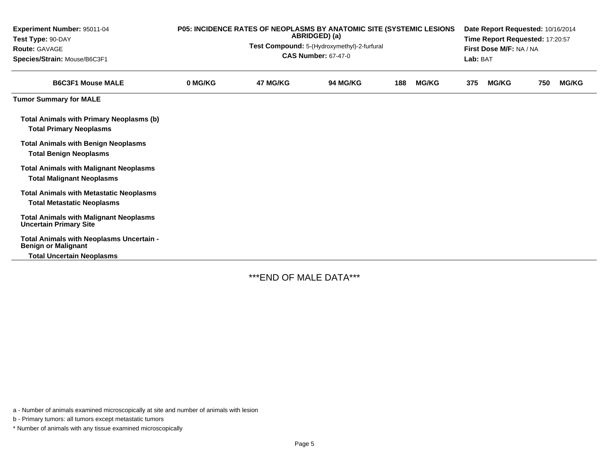| Experiment Number: 95011-04<br>Test Type: 90-DAY<br><b>Route: GAVAGE</b><br>Species/Strain: Mouse/B6C3F1 |         | P05: INCIDENCE RATES OF NEOPLASMS BY ANATOMIC SITE (SYSTEMIC LESIONS<br>ABRIDGED) (a)<br>Test Compound: 5-(Hydroxymethyl)-2-furfural<br><b>CAS Number: 67-47-0</b> |          |     |              |     | Date Report Requested: 10/16/2014<br>Time Report Requested: 17:20:57<br>First Dose M/F: NA / NA<br>Lab: BAT |     |              |  |
|----------------------------------------------------------------------------------------------------------|---------|--------------------------------------------------------------------------------------------------------------------------------------------------------------------|----------|-----|--------------|-----|-------------------------------------------------------------------------------------------------------------|-----|--------------|--|
| <b>B6C3F1 Mouse MALE</b>                                                                                 | 0 MG/KG | 47 MG/KG                                                                                                                                                           | 94 MG/KG | 188 | <b>MG/KG</b> | 375 | <b>MG/KG</b>                                                                                                | 750 | <b>MG/KG</b> |  |
| <b>Tumor Summary for MALE</b>                                                                            |         |                                                                                                                                                                    |          |     |              |     |                                                                                                             |     |              |  |
| <b>Total Animals with Primary Neoplasms (b)</b><br><b>Total Primary Neoplasms</b>                        |         |                                                                                                                                                                    |          |     |              |     |                                                                                                             |     |              |  |
| <b>Total Animals with Benign Neoplasms</b><br><b>Total Benign Neoplasms</b>                              |         |                                                                                                                                                                    |          |     |              |     |                                                                                                             |     |              |  |
| <b>Total Animals with Malignant Neoplasms</b><br><b>Total Malignant Neoplasms</b>                        |         |                                                                                                                                                                    |          |     |              |     |                                                                                                             |     |              |  |
| <b>Total Animals with Metastatic Neoplasms</b><br><b>Total Metastatic Neoplasms</b>                      |         |                                                                                                                                                                    |          |     |              |     |                                                                                                             |     |              |  |
| <b>Total Animals with Malignant Neoplasms</b><br><b>Uncertain Primary Site</b>                           |         |                                                                                                                                                                    |          |     |              |     |                                                                                                             |     |              |  |
| Total Animals with Neoplasms Uncertain -<br><b>Benign or Malignant</b>                                   |         |                                                                                                                                                                    |          |     |              |     |                                                                                                             |     |              |  |
| <b>Total Uncertain Neoplasms</b>                                                                         |         |                                                                                                                                                                    |          |     |              |     |                                                                                                             |     |              |  |

\*\*\*END OF MALE DATA\*\*\*

a - Number of animals examined microscopically at site and number of animals with lesion

b - Primary tumors: all tumors except metastatic tumors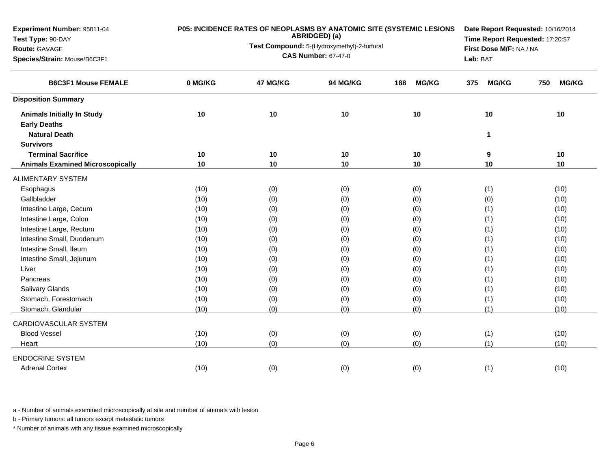| Experiment Number: 95011-04                                |         |          |                                                              | P05: INCIDENCE RATES OF NEOPLASMS BY ANATOMIC SITE (SYSTEMIC LESIONS | Date Report Requested: 10/16/2014 |                     |  |  |  |  |
|------------------------------------------------------------|---------|----------|--------------------------------------------------------------|----------------------------------------------------------------------|-----------------------------------|---------------------|--|--|--|--|
| Test Type: 90-DAY                                          |         |          | ABRIDGED) (a)<br>Test Compound: 5-(Hydroxymethyl)-2-furfural |                                                                      | Time Report Requested: 17:20:57   |                     |  |  |  |  |
| Route: GAVAGE                                              |         |          | <b>CAS Number: 67-47-0</b>                                   |                                                                      | First Dose M/F: NA / NA           |                     |  |  |  |  |
| Species/Strain: Mouse/B6C3F1<br><b>B6C3F1 Mouse FEMALE</b> |         |          |                                                              | Lab: BAT                                                             |                                   |                     |  |  |  |  |
|                                                            | 0 MG/KG | 47 MG/KG | 94 MG/KG                                                     | 188<br><b>MG/KG</b>                                                  | <b>MG/KG</b><br>375               | 750<br><b>MG/KG</b> |  |  |  |  |
| <b>Disposition Summary</b>                                 |         |          |                                                              |                                                                      |                                   |                     |  |  |  |  |
| <b>Animals Initially In Study</b>                          | 10      | 10       | 10                                                           | 10                                                                   | 10                                | 10                  |  |  |  |  |
| <b>Early Deaths</b>                                        |         |          |                                                              |                                                                      |                                   |                     |  |  |  |  |
| <b>Natural Death</b>                                       |         |          |                                                              |                                                                      | 1                                 |                     |  |  |  |  |
| <b>Survivors</b>                                           |         |          |                                                              |                                                                      |                                   |                     |  |  |  |  |
| <b>Terminal Sacrifice</b>                                  | 10      | 10       | 10                                                           | 10                                                                   | 9                                 | 10                  |  |  |  |  |
| <b>Animals Examined Microscopically</b>                    | 10      | 10       | 10                                                           | 10                                                                   | 10                                | 10                  |  |  |  |  |
| <b>ALIMENTARY SYSTEM</b>                                   |         |          |                                                              |                                                                      |                                   |                     |  |  |  |  |
| Esophagus                                                  | (10)    | (0)      | (0)                                                          | (0)                                                                  | (1)                               | (10)                |  |  |  |  |
| Gallbladder                                                | (10)    | (0)      | (0)                                                          | (0)                                                                  | (0)                               | (10)                |  |  |  |  |
| Intestine Large, Cecum                                     | (10)    | (0)      | (0)                                                          | (0)                                                                  | (1)                               | (10)                |  |  |  |  |
| Intestine Large, Colon                                     | (10)    | (0)      | (0)                                                          | (0)                                                                  | (1)                               | (10)                |  |  |  |  |
| Intestine Large, Rectum                                    | (10)    | (0)      | (0)                                                          | (0)                                                                  | (1)                               | (10)                |  |  |  |  |
| Intestine Small, Duodenum                                  | (10)    | (0)      | (0)                                                          | (0)                                                                  | (1)                               | (10)                |  |  |  |  |
| Intestine Small, Ileum                                     | (10)    | (0)      | (0)                                                          | (0)                                                                  | (1)                               | (10)                |  |  |  |  |
| Intestine Small, Jejunum                                   | (10)    | (0)      | (0)                                                          | (0)                                                                  | (1)                               | (10)                |  |  |  |  |
| Liver                                                      | (10)    | (0)      | (0)                                                          | (0)                                                                  | (1)                               | (10)                |  |  |  |  |
| Pancreas                                                   | (10)    | (0)      | (0)                                                          | (0)                                                                  | (1)                               | (10)                |  |  |  |  |
| <b>Salivary Glands</b>                                     | (10)    | (0)      | (0)                                                          | (0)                                                                  | (1)                               | (10)                |  |  |  |  |
| Stomach, Forestomach                                       | (10)    | (0)      | (0)                                                          | (0)                                                                  | (1)                               | (10)                |  |  |  |  |
| Stomach, Glandular                                         | (10)    | (0)      | (0)                                                          | (0)                                                                  | (1)                               | (10)                |  |  |  |  |
| CARDIOVASCULAR SYSTEM                                      |         |          |                                                              |                                                                      |                                   |                     |  |  |  |  |
| <b>Blood Vessel</b>                                        | (10)    | (0)      | (0)                                                          | (0)                                                                  | (1)                               | (10)                |  |  |  |  |
| Heart                                                      | (10)    | (0)      | (0)                                                          | (0)                                                                  | (1)                               | (10)                |  |  |  |  |
| <b>ENDOCRINE SYSTEM</b>                                    |         |          |                                                              |                                                                      |                                   |                     |  |  |  |  |
| <b>Adrenal Cortex</b>                                      | (10)    | (0)      | (0)                                                          | (0)                                                                  | (1)                               | (10)                |  |  |  |  |

b - Primary tumors: all tumors except metastatic tumors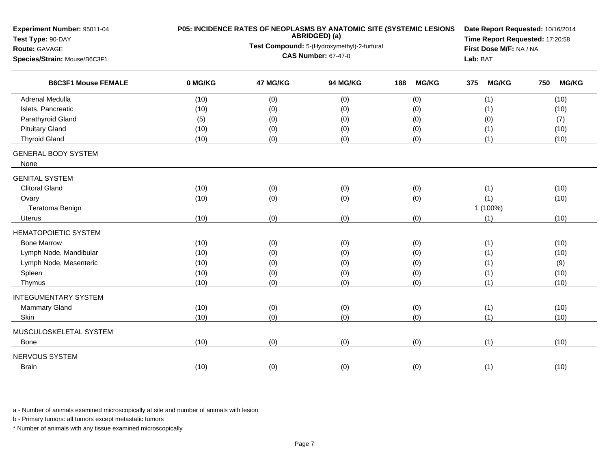| Experiment Number: 95011-04<br>Test Type: 90-DAY           |         |                            | ABRIDGED) (a)                               | P05: INCIDENCE RATES OF NEOPLASMS BY ANATOMIC SITE (SYSTEMIC LESIONS | Date Report Requested: 10/16/2014<br>Time Report Requested: 17:20:58 |                     |  |  |  |
|------------------------------------------------------------|---------|----------------------------|---------------------------------------------|----------------------------------------------------------------------|----------------------------------------------------------------------|---------------------|--|--|--|
| Route: GAVAGE                                              |         |                            | Test Compound: 5-(Hydroxymethyl)-2-furfural |                                                                      | First Dose M/F: NA / NA                                              |                     |  |  |  |
| Species/Strain: Mouse/B6C3F1<br><b>B6C3F1 Mouse FEMALE</b> |         | <b>CAS Number: 67-47-0</b> |                                             | Lab: BAT                                                             |                                                                      |                     |  |  |  |
|                                                            | 0 MG/KG | 47 MG/KG                   | 94 MG/KG                                    | <b>MG/KG</b><br>188                                                  | <b>MG/KG</b><br>375                                                  | <b>MG/KG</b><br>750 |  |  |  |
| <b>Adrenal Medulla</b>                                     | (10)    | (0)                        | (0)                                         | (0)                                                                  | (1)                                                                  | (10)                |  |  |  |
| Islets, Pancreatic                                         | (10)    | (0)                        | (0)                                         | (0)                                                                  | (1)                                                                  | (10)                |  |  |  |
| Parathyroid Gland                                          | (5)     | (0)                        | (0)                                         | (0)                                                                  | (0)                                                                  | (7)                 |  |  |  |
| <b>Pituitary Gland</b>                                     | (10)    | (0)                        | (0)                                         | (0)                                                                  | (1)                                                                  | (10)                |  |  |  |
| <b>Thyroid Gland</b>                                       | (10)    | (0)                        | (0)                                         | (0)                                                                  | (1)                                                                  | (10)                |  |  |  |
| <b>GENERAL BODY SYSTEM</b><br>None                         |         |                            |                                             |                                                                      |                                                                      |                     |  |  |  |
| <b>GENITAL SYSTEM</b>                                      |         |                            |                                             |                                                                      |                                                                      |                     |  |  |  |
| <b>Clitoral Gland</b>                                      | (10)    | (0)                        | (0)                                         | (0)                                                                  | (1)                                                                  | (10)                |  |  |  |
| Ovary                                                      | (10)    | (0)                        | (0)                                         | (0)                                                                  | (1)                                                                  | (10)                |  |  |  |
| Teratoma Benign                                            |         |                            |                                             |                                                                      | 1 (100%)                                                             |                     |  |  |  |
| <b>Uterus</b>                                              | (10)    | (0)                        | (0)                                         | (0)                                                                  | (1)                                                                  | (10)                |  |  |  |
| <b>HEMATOPOIETIC SYSTEM</b>                                |         |                            |                                             |                                                                      |                                                                      |                     |  |  |  |
| <b>Bone Marrow</b>                                         | (10)    | (0)                        | (0)                                         | (0)                                                                  | (1)                                                                  | (10)                |  |  |  |
| Lymph Node, Mandibular                                     | (10)    | (0)                        | (0)                                         | (0)                                                                  | (1)                                                                  | (10)                |  |  |  |
| Lymph Node, Mesenteric                                     | (10)    | (0)                        | (0)                                         | (0)                                                                  | (1)                                                                  | (9)                 |  |  |  |
| Spleen                                                     | (10)    | (0)                        | (0)                                         | (0)                                                                  | (1)                                                                  | (10)                |  |  |  |
| Thymus                                                     | (10)    | (0)                        | (0)                                         | (0)                                                                  | (1)                                                                  | (10)                |  |  |  |
| <b>INTEGUMENTARY SYSTEM</b>                                |         |                            |                                             |                                                                      |                                                                      |                     |  |  |  |
| <b>Mammary Gland</b>                                       | (10)    | (0)                        | (0)                                         | (0)                                                                  | (1)                                                                  | (10)                |  |  |  |
| Skin                                                       | (10)    | (0)                        | (0)                                         | (0)                                                                  | (1)                                                                  | (10)                |  |  |  |
| MUSCULOSKELETAL SYSTEM                                     |         |                            |                                             |                                                                      |                                                                      |                     |  |  |  |
| <b>Bone</b>                                                | (10)    | (0)                        | (0)                                         | (0)                                                                  | (1)                                                                  | (10)                |  |  |  |
| NERVOUS SYSTEM                                             |         |                            |                                             |                                                                      |                                                                      |                     |  |  |  |
| <b>Brain</b>                                               | (10)    | (0)                        | (0)                                         | (0)                                                                  | (1)                                                                  | (10)                |  |  |  |
|                                                            |         |                            |                                             |                                                                      |                                                                      |                     |  |  |  |

b - Primary tumors: all tumors except metastatic tumors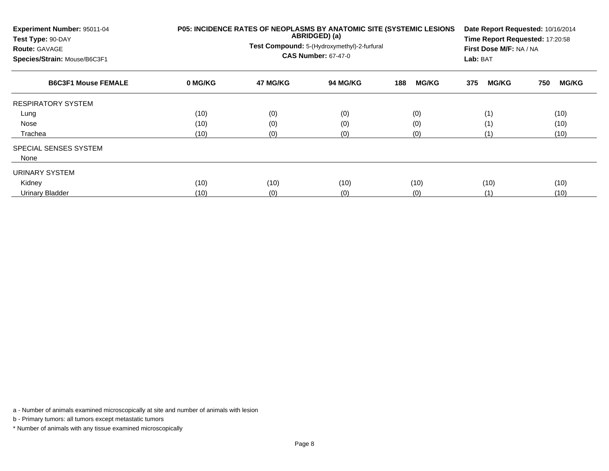| Experiment Number: 95011-04<br>Test Type: 90-DAY<br><b>Route: GAVAGE</b><br>Species/Strain: Mouse/B6C3F1 | P05: INCIDENCE RATES OF NEOPLASMS BY ANATOMIC SITE (SYSTEMIC LESIONS<br>Date Report Requested: 10/16/2014<br>ABRIDGED) (a)<br>Time Report Requested: 17:20:58<br>Test Compound: 5-(Hydroxymethyl)-2-furfural<br>First Dose M/F: NA / NA<br><b>CAS Number: 67-47-0</b><br>Lab: BAT |          |          |                     |                     |                     |
|----------------------------------------------------------------------------------------------------------|-----------------------------------------------------------------------------------------------------------------------------------------------------------------------------------------------------------------------------------------------------------------------------------|----------|----------|---------------------|---------------------|---------------------|
| <b>B6C3F1 Mouse FEMALE</b>                                                                               | 0 MG/KG                                                                                                                                                                                                                                                                           | 47 MG/KG | 94 MG/KG | <b>MG/KG</b><br>188 | <b>MG/KG</b><br>375 | <b>MG/KG</b><br>750 |
| <b>RESPIRATORY SYSTEM</b>                                                                                |                                                                                                                                                                                                                                                                                   |          |          |                     |                     |                     |
| Lung                                                                                                     | (10)                                                                                                                                                                                                                                                                              | (0)      | (0)      | (0)                 | (1)                 | (10)                |
| Nose                                                                                                     | (10)                                                                                                                                                                                                                                                                              | (0)      | (0)      | (0)                 | (1)                 | (10)                |
| Trachea                                                                                                  | (10)                                                                                                                                                                                                                                                                              | (0)      | (0)      | (0)                 | (1)                 | (10)                |
| SPECIAL SENSES SYSTEM                                                                                    |                                                                                                                                                                                                                                                                                   |          |          |                     |                     |                     |
| None                                                                                                     |                                                                                                                                                                                                                                                                                   |          |          |                     |                     |                     |
| URINARY SYSTEM                                                                                           |                                                                                                                                                                                                                                                                                   |          |          |                     |                     |                     |
| Kidney                                                                                                   | (10)                                                                                                                                                                                                                                                                              | (10)     | (10)     | (10)                | (10)                | (10)                |
| Urinary Bladder                                                                                          | (10)                                                                                                                                                                                                                                                                              | (0)      | (0)      | (0)                 | (1)                 | (10)                |

b - Primary tumors: all tumors except metastatic tumors